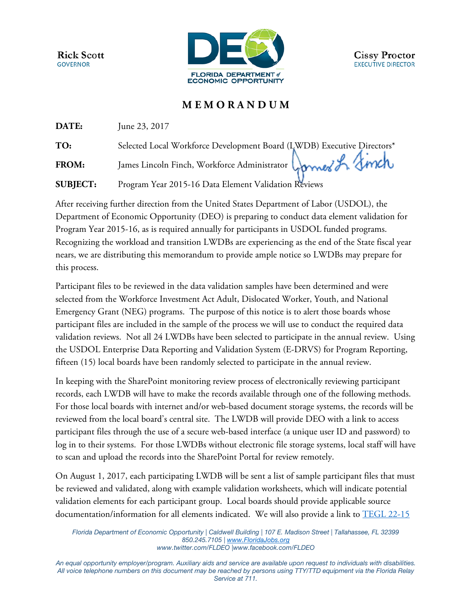**Rick Scott GOVERNOR** 



## **M E M O R A N D U M**

**DATE: June 23, 2017** 

**TO:** Selected Local Workforce Development Board (LWDB) Executive Directors\*

FROM: James Lincoln Finch, Workforce Administrator Competer of Linch

**SUBJECT:** Program Year 2015-16 Data Element Validation Reviews

After receiving further direction from the United States Department of Labor (USDOL), the Department of Economic Opportunity (DEO) is preparing to conduct data element validation for Program Year 2015-16, as is required annually for participants in USDOL funded programs. Recognizing the workload and transition LWDBs are experiencing as the end of the State fiscal year nears, we are distributing this memorandum to provide ample notice so LWDBs may prepare for this process.

Participant files to be reviewed in the data validation samples have been determined and were selected from the Workforce Investment Act Adult, Dislocated Worker, Youth, and National Emergency Grant (NEG) programs. The purpose of this notice is to alert those boards whose participant files are included in the sample of the process we will use to conduct the required data validation reviews. Not all 24 LWDBs have been selected to participate in the annual review. Using the USDOL Enterprise Data Reporting and Validation System (E-DRVS) for Program Reporting, fifteen (15) local boards have been randomly selected to participate in the annual review.

In keeping with the SharePoint monitoring review process of electronically reviewing participant records, each LWDB will have to make the records available through one of the following methods. For those local boards with internet and/or web-based document storage systems, the records will be reviewed from the local board's central site. The LWDB will provide DEO with a link to access participant files through the use of a secure web-based interface (a unique user ID and password) to log in to their systems. For those LWDBs without electronic file storage systems, local staff will have to scan and upload the records into the SharePoint Portal for review remotely.

On August 1, 2017, each participating LWDB will be sent a list of sample participant files that must be reviewed and validated, along with example validation worksheets, which will indicate potential validation elements for each participant group. Local boards should provide applicable source documentation/information for all elements indicated. We will also provide a link to [TEGL 22-15](https://wdr.doleta.gov/directives/attach/TEGL/TEGL_22-15_Attachment_A_Acc.pdf) 

*Florida Department of Economic Opportunity | Caldwell Building | 107 E. Madison Street | Tallahassee, FL 32399 850.245.7105 | [www.FloridaJobs.org](http://www.floridajobs.org/) [www.twitter.com/FLDEO](http://www.twitter.com/FLDEO) |www.facebook.com/FLDEO*

*An equal opportunity employer/program. Auxiliary aids and service are available upon request to individuals with disabilities. All voice telephone numbers on this document may be reached by persons using TTY/TTD equipment via the Florida Relay Service at 711.*